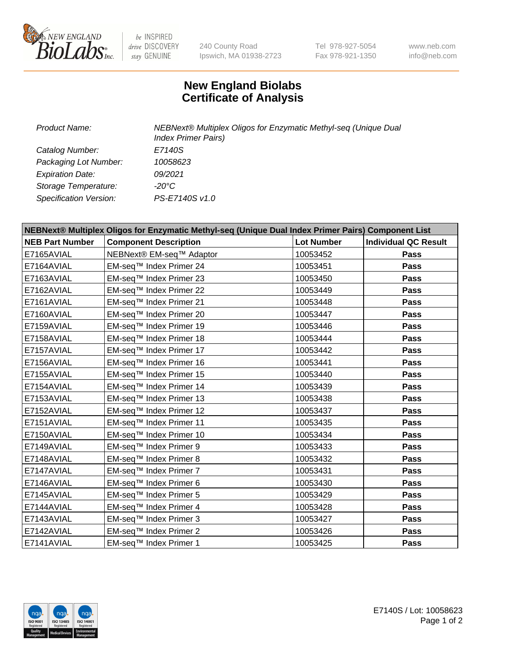

 $be$  INSPIRED drive DISCOVERY stay GENUINE

240 County Road Ipswich, MA 01938-2723 Tel 978-927-5054 Fax 978-921-1350 www.neb.com info@neb.com

## **New England Biolabs Certificate of Analysis**

| <b>Product Name:</b>    | NEBNext® Multiplex Oligos for Enzymatic Methyl-seq (Unique Dual<br><b>Index Primer Pairs)</b> |
|-------------------------|-----------------------------------------------------------------------------------------------|
| Catalog Number:         | E7140S                                                                                        |
| Packaging Lot Number:   | 10058623                                                                                      |
| <b>Expiration Date:</b> | 09/2021                                                                                       |
| Storage Temperature:    | -20°C                                                                                         |
| Specification Version:  | PS-E7140S v1.0                                                                                |

| NEBNext® Multiplex Oligos for Enzymatic Methyl-seq (Unique Dual Index Primer Pairs) Component List |                              |                   |                             |  |
|----------------------------------------------------------------------------------------------------|------------------------------|-------------------|-----------------------------|--|
| <b>NEB Part Number</b>                                                                             | <b>Component Description</b> | <b>Lot Number</b> | <b>Individual QC Result</b> |  |
| E7165AVIAL                                                                                         | NEBNext® EM-seq™ Adaptor     | 10053452          | Pass                        |  |
| E7164AVIAL                                                                                         | EM-seq™ Index Primer 24      | 10053451          | <b>Pass</b>                 |  |
| E7163AVIAL                                                                                         | EM-seq™ Index Primer 23      | 10053450          | <b>Pass</b>                 |  |
| E7162AVIAL                                                                                         | EM-seq™ Index Primer 22      | 10053449          | <b>Pass</b>                 |  |
| E7161AVIAL                                                                                         | EM-seq™ Index Primer 21      | 10053448          | Pass                        |  |
| E7160AVIAL                                                                                         | EM-seq™ Index Primer 20      | 10053447          | <b>Pass</b>                 |  |
| E7159AVIAL                                                                                         | EM-seq™ Index Primer 19      | 10053446          | <b>Pass</b>                 |  |
| E7158AVIAL                                                                                         | EM-seq™ Index Primer 18      | 10053444          | Pass                        |  |
| E7157AVIAL                                                                                         | EM-seq™ Index Primer 17      | 10053442          | Pass                        |  |
| E7156AVIAL                                                                                         | EM-seq™ Index Primer 16      | 10053441          | <b>Pass</b>                 |  |
| E7155AVIAL                                                                                         | EM-seq™ Index Primer 15      | 10053440          | <b>Pass</b>                 |  |
| E7154AVIAL                                                                                         | EM-seq™ Index Primer 14      | 10053439          | <b>Pass</b>                 |  |
| E7153AVIAL                                                                                         | EM-seq™ Index Primer 13      | 10053438          | <b>Pass</b>                 |  |
| E7152AVIAL                                                                                         | EM-seq™ Index Primer 12      | 10053437          | Pass                        |  |
| E7151AVIAL                                                                                         | EM-seq™ Index Primer 11      | 10053435          | <b>Pass</b>                 |  |
| E7150AVIAL                                                                                         | EM-seq™ Index Primer 10      | 10053434          | Pass                        |  |
| E7149AVIAL                                                                                         | EM-seq™ Index Primer 9       | 10053433          | Pass                        |  |
| E7148AVIAL                                                                                         | EM-seq™ Index Primer 8       | 10053432          | <b>Pass</b>                 |  |
| E7147AVIAL                                                                                         | EM-seq™ Index Primer 7       | 10053431          | Pass                        |  |
| E7146AVIAL                                                                                         | EM-seq™ Index Primer 6       | 10053430          | <b>Pass</b>                 |  |
| E7145AVIAL                                                                                         | EM-seq™ Index Primer 5       | 10053429          | <b>Pass</b>                 |  |
| E7144AVIAL                                                                                         | EM-seq™ Index Primer 4       | 10053428          | Pass                        |  |
| E7143AVIAL                                                                                         | EM-seq™ Index Primer 3       | 10053427          | <b>Pass</b>                 |  |
| E7142AVIAL                                                                                         | EM-seq™ Index Primer 2       | 10053426          | <b>Pass</b>                 |  |
| E7141AVIAL                                                                                         | EM-seq™ Index Primer 1       | 10053425          | Pass                        |  |